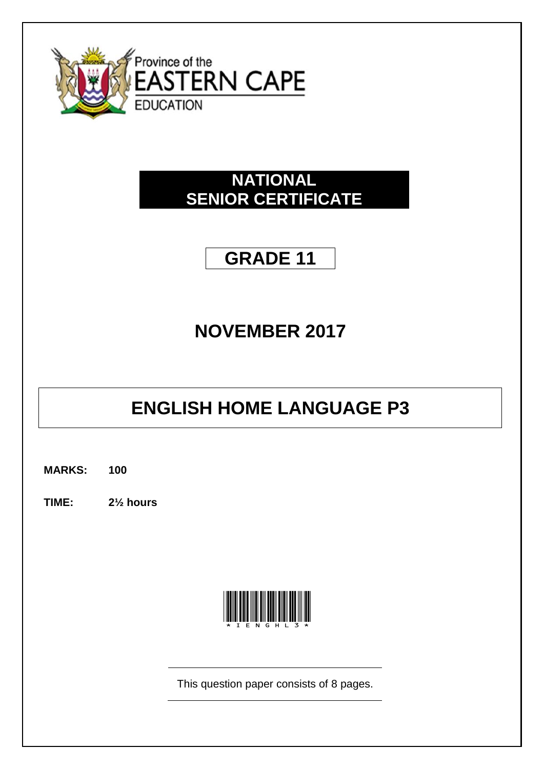

### **NATIONAL SENIOR CERTIFICATE**

## **GRADE 11**

## **NOVEMBER 2017**

# **ENGLISH HOME LANGUAGE P3**

**MARKS: 100**

**TIME: 2½ hours**



This question paper consists of 8 pages.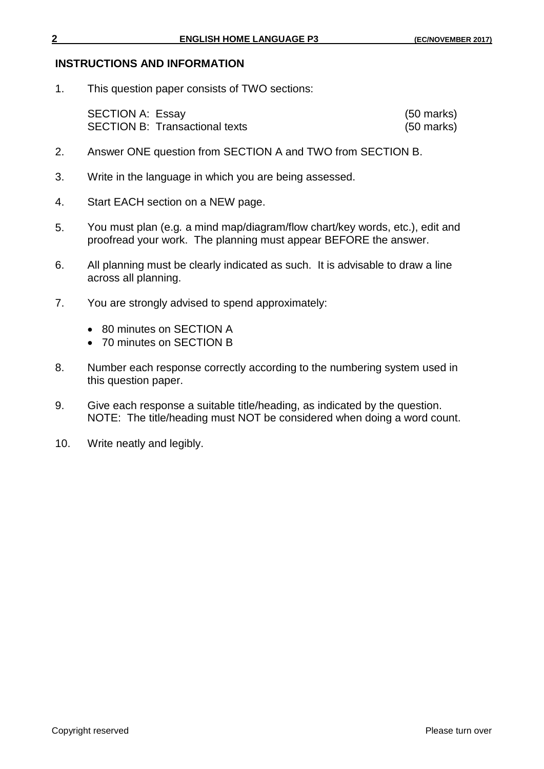#### **INSTRUCTIONS AND INFORMATION**

1. This question paper consists of TWO sections:

| <b>SECTION A: Essay</b>               | $(50 \text{ marks})$ |
|---------------------------------------|----------------------|
| <b>SECTION B: Transactional texts</b> | $(50 \text{ marks})$ |

- 2. Answer ONE question from SECTION A and TWO from SECTION B.
- 3. Write in the language in which you are being assessed.
- 4. Start EACH section on a NEW page.
- 5. You must plan (e.g*.* a mind map/diagram/flow chart/key words, etc.), edit and proofread your work. The planning must appear BEFORE the answer.
- 6. All planning must be clearly indicated as such. It is advisable to draw a line across all planning.
- 7. You are strongly advised to spend approximately:
	- 80 minutes on SECTION A
	- 70 minutes on SECTION B
- 8. Number each response correctly according to the numbering system used in this question paper.
- 9. Give each response a suitable title/heading, as indicated by the question. NOTE: The title/heading must NOT be considered when doing a word count.
- 10. Write neatly and legibly.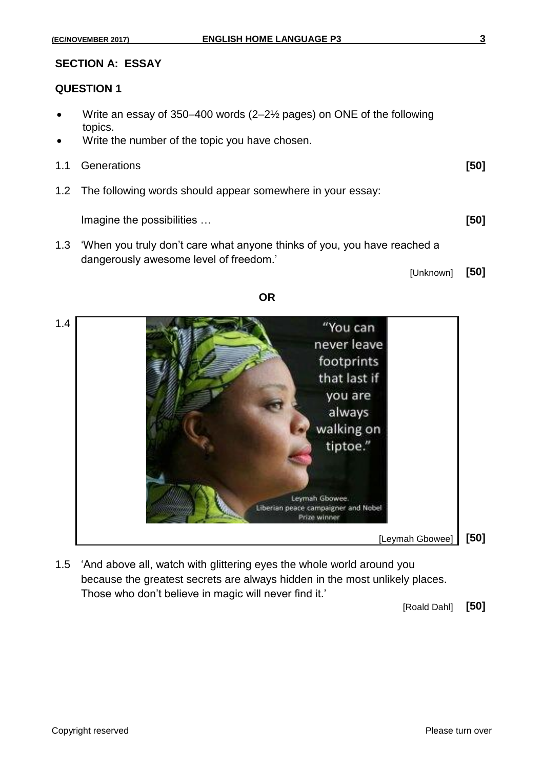### **SECTION A: ESSAY**

#### **QUESTION 1**

- Write an essay of 350–400 words (2–2½ pages) on ONE of the following topics.
- Write the number of the topic you have chosen.
- 1.1 Generations **[50]**

1.2 The following words should appear somewhere in your essay:

Imagine the possibilities … **[50]**

1.3 'When you truly don't care what anyone thinks of you, you have reached a dangerously awesome level of freedom.'

[Unknown] **[50]**

**OR**



1.5 'And above all, watch with glittering eyes the whole world around you because the greatest secrets are always hidden in the most unlikely places. Those who don't believe in magic will never find it.'

[Roald Dahl] **[50]**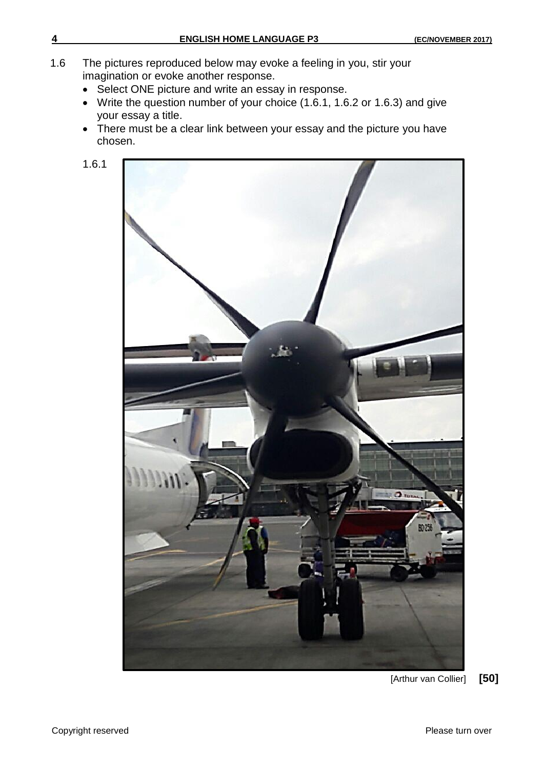- 1.6 The pictures reproduced below may evoke a feeling in you, stir your imagination or evoke another response.
	- Select ONE picture and write an essay in response.
	- Write the question number of your choice (1.6.1, 1.6.2 or 1.6.3) and give your essay a title.
	- There must be a clear link between your essay and the picture you have chosen.
	- 1.6.1



[Arthur van Collier] **[50]**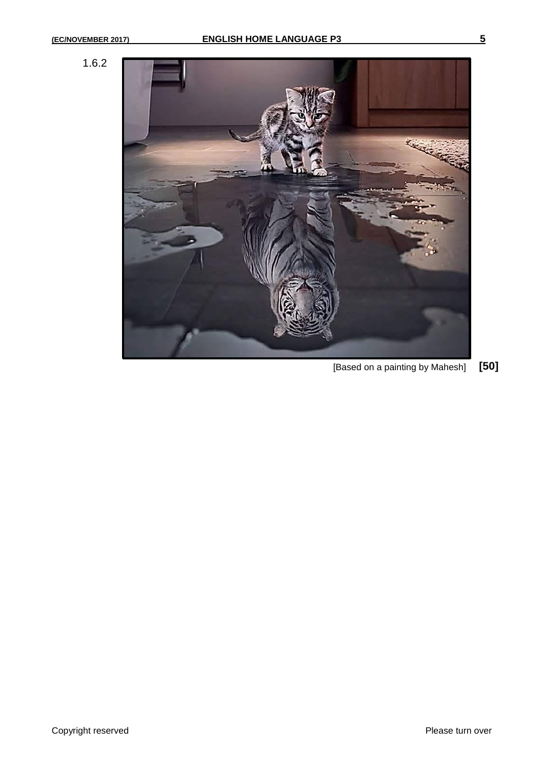



[Based on a painting by Mahesh] **[50]**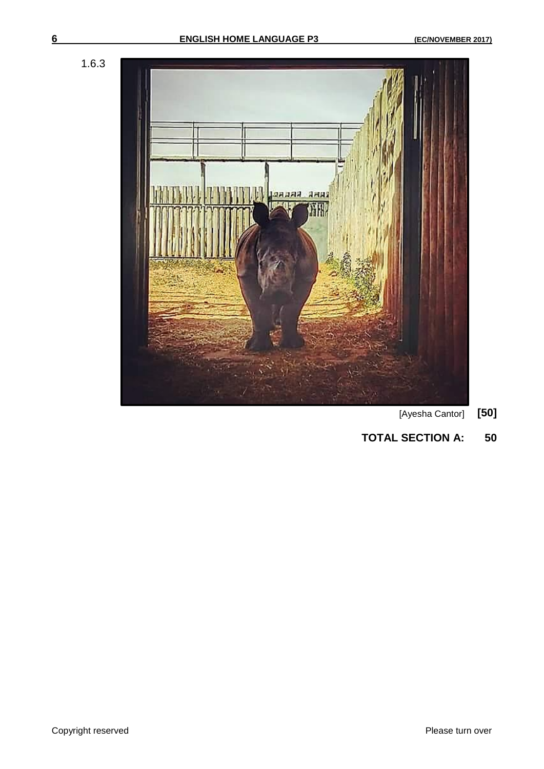



- [Ayesha Cantor] **[50]**
- **TOTAL SECTION A: 50**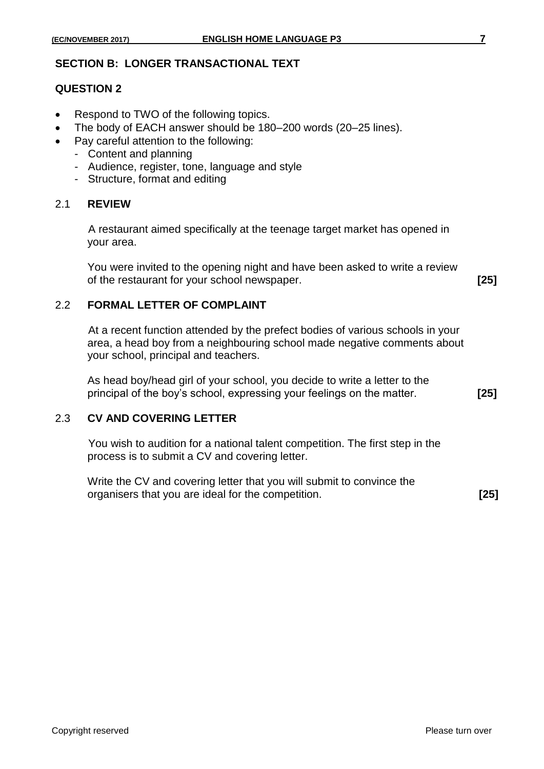#### **SECTION B: LONGER TRANSACTIONAL TEXT**

#### **QUESTION 2**

- Respond to TWO of the following topics.
- The body of EACH answer should be 180–200 words (20–25 lines).
- Pay careful attention to the following:
	- Content and planning
	- Audience, register, tone, language and style
	- Structure, format and editing

#### 2.1 **REVIEW**

A restaurant aimed specifically at the teenage target market has opened in your area.

You were invited to the opening night and have been asked to write a review of the restaurant for your school newspaper. **[25]**

2.2 **FORMAL LETTER OF COMPLAINT**

At a recent function attended by the prefect bodies of various schools in your area, a head boy from a neighbouring school made negative comments about your school, principal and teachers.

As head boy/head girl of your school, you decide to write a letter to the principal of the boy's school, expressing your feelings on the matter. **[25]**

#### 2.3 **CV AND COVERING LETTER**

You wish to audition for a national talent competition. The first step in the process is to submit a CV and covering letter.

| Write the CV and covering letter that you will submit to convince the |        |
|-----------------------------------------------------------------------|--------|
| organisers that you are ideal for the competition.                    | $[25]$ |